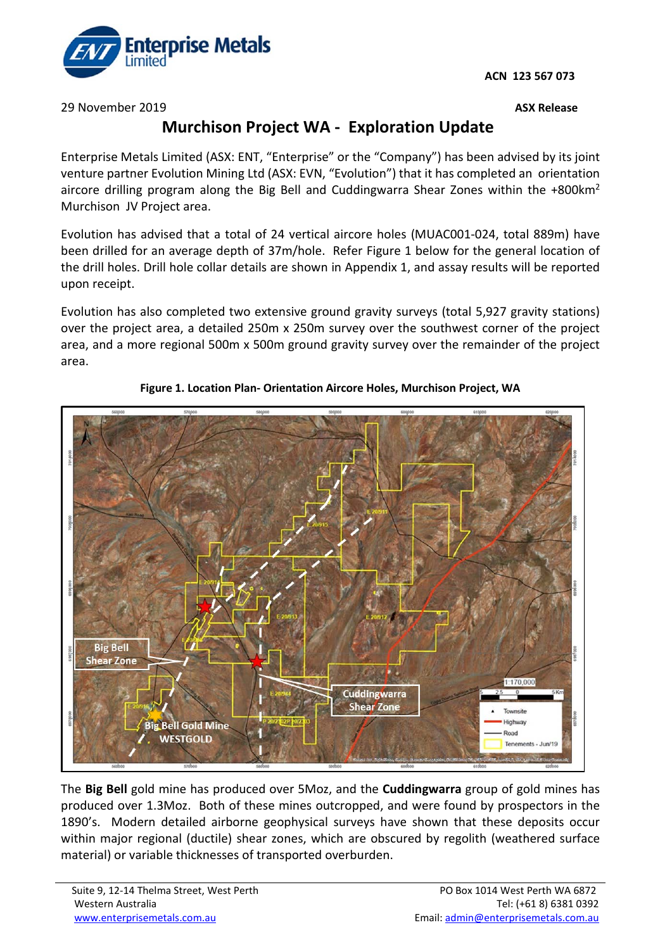**ACN 123 567 073**



29 November 2019 **ASX Release** 

# **Murchison Project WA - Exploration Update**

Enterprise Metals Limited (ASX: ENT, "Enterprise" or the "Company") has been advised by its joint venture partner Evolution Mining Ltd (ASX: EVN, "Evolution") that it has completed an orientation aircore drilling program along the Big Bell and Cuddingwarra Shear Zones within the +800km2 Murchison JV Project area.

Evolution has advised that a total of 24 vertical aircore holes (MUAC001-024, total 889m) have been drilled for an average depth of 37m/hole. Refer Figure 1 below for the general location of the drill holes. Drill hole collar details are shown in Appendix 1, and assay results will be reported upon receipt.

Evolution has also completed two extensive ground gravity surveys (total 5,927 gravity stations) over the project area, a detailed 250m x 250m survey over the southwest corner of the project area, and a more regional 500m x 500m ground gravity survey over the remainder of the project area.



## **Figure 1. Location Plan- Orientation Aircore Holes, Murchison Project, WA**

The **Big Bell** gold mine has produced over 5Moz, and the **Cuddingwarra** group of gold mines has produced over 1.3Moz. Both of these mines outcropped, and were found by prospectors in the 1890's. Modern detailed airborne geophysical surveys have shown that these deposits occur within major regional (ductile) shear zones, which are obscured by regolith (weathered surface material) or variable thicknesses of transported overburden.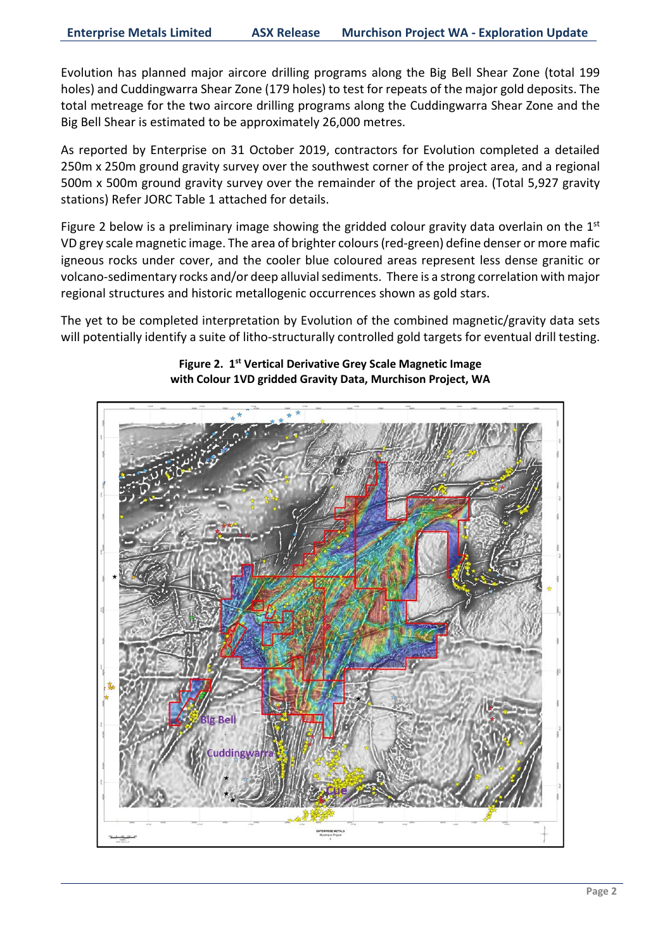Evolution has planned major aircore drilling programs along the Big Bell Shear Zone (total 199 holes) and Cuddingwarra Shear Zone (179 holes) to test for repeats of the major gold deposits. The total metreage for the two aircore drilling programs along the Cuddingwarra Shear Zone and the Big Bell Shear is estimated to be approximately 26,000 metres.

As reported by Enterprise on 31 October 2019, contractors for Evolution completed a detailed 250m x 250m ground gravity survey over the southwest corner of the project area, and a regional 500m x 500m ground gravity survey over the remainder of the project area. (Total 5,927 gravity stations) Refer JORC Table 1 attached for details.

Figure 2 below is a preliminary image showing the gridded colour gravity data overlain on the  $1<sup>st</sup>$ VD grey scale magnetic image. The area of brighter colours (red-green) define denser or more mafic igneous rocks under cover, and the cooler blue coloured areas represent less dense granitic or volcano-sedimentary rocks and/or deep alluvial sediments. There is a strong correlation with major regional structures and historic metallogenic occurrences shown as gold stars.

The yet to be completed interpretation by Evolution of the combined magnetic/gravity data sets will potentially identify a suite of litho-structurally controlled gold targets for eventual drill testing.



**Figure 2. 1st Vertical Derivative Grey Scale Magnetic Image with Colour 1VD gridded Gravity Data, Murchison Project, WA**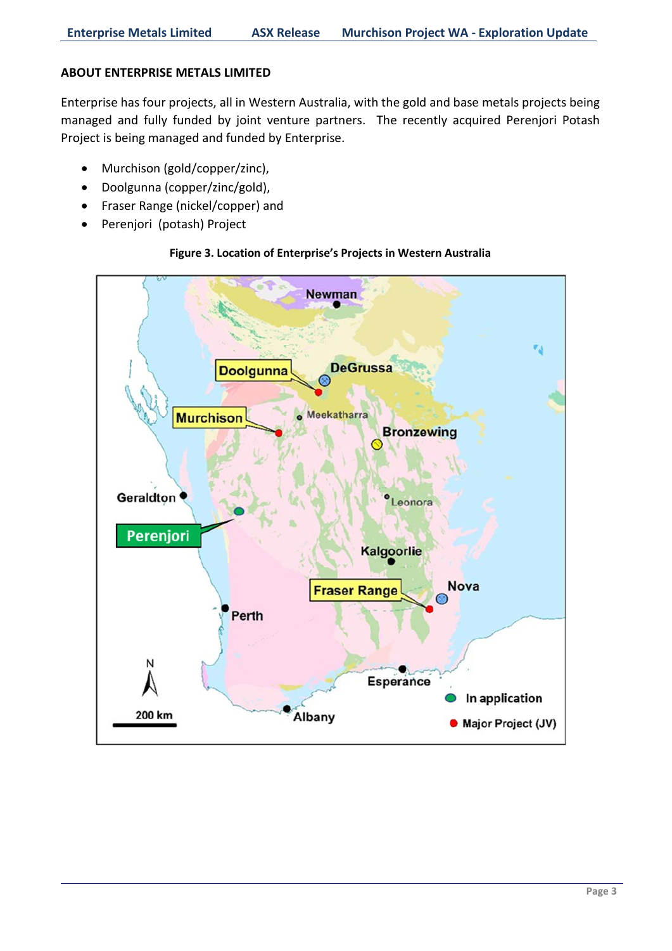## **ABOUT ENTERPRISE METALS LIMITED**

Enterprise has four projects, all in Western Australia, with the gold and base metals projects being managed and fully funded by joint venture partners. The recently acquired Perenjori Potash Project is being managed and funded by Enterprise.

- Murchison (gold/copper/zinc),
- Doolgunna (copper/zinc/gold),
- Fraser Range (nickel/copper) and
- Perenjori (potash) Project

## **Figure 3. Location of Enterprise's Projects in Western Australia**

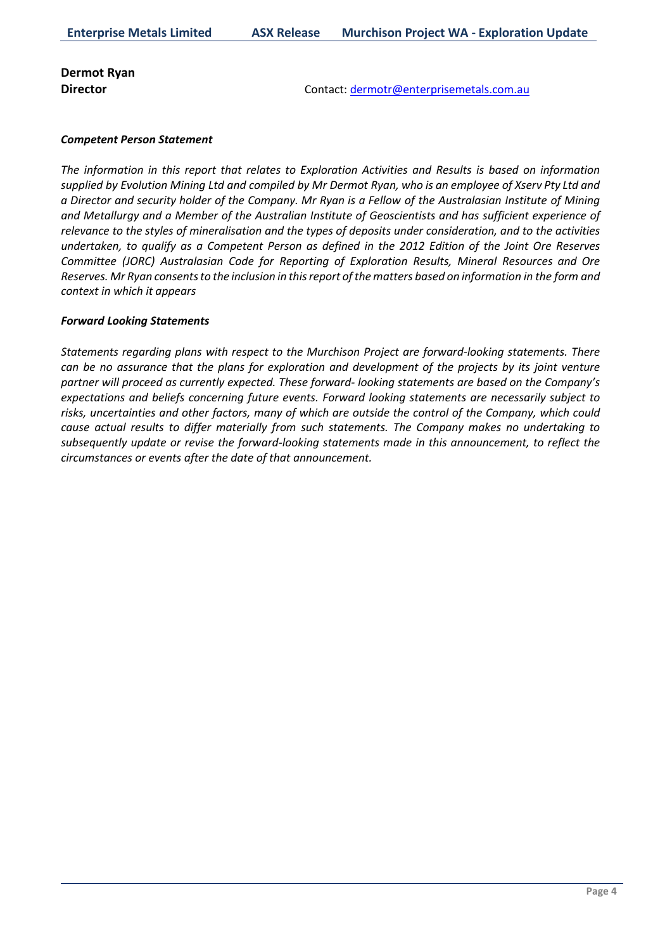# **Dermot Ryan**

**Director** Contact: [dermotr@enterprisemetals.com.au](mailto:dermotr@enterprisemetals.com.au)

#### *Competent Person Statement*

*The information in this report that relates to Exploration Activities and Results is based on information supplied by Evolution Mining Ltd and compiled by Mr Dermot Ryan, who is an employee of Xserv Pty Ltd and a Director and security holder of the Company. Mr Ryan is a Fellow of the Australasian Institute of Mining and Metallurgy and a Member of the Australian Institute of Geoscientists and has sufficient experience of relevance to the styles of mineralisation and the types of deposits under consideration, and to the activities undertaken, to qualify as a Competent Person as defined in the 2012 Edition of the Joint Ore Reserves Committee (JORC) Australasian Code for Reporting of Exploration Results, Mineral Resources and Ore Reserves. Mr Ryan consentsto the inclusion in thisreport ofthe matters based on information in the form and context in which it appears*

#### *Forward Looking Statements*

*Statements regarding plans with respect to the Murchison Project are forward-looking statements. There can be no assurance that the plans for exploration and development of the projects by its joint venture partner will proceed as currently expected. These forward- looking statements are based on the Company's expectations and beliefs concerning future events. Forward looking statements are necessarily subject to risks, uncertainties and other factors, many of which are outside the control of the Company, which could cause actual results to differ materially from such statements. The Company makes no undertaking to subsequently update or revise the forward-looking statements made in this announcement, to reflect the circumstances or events after the date of that announcement.*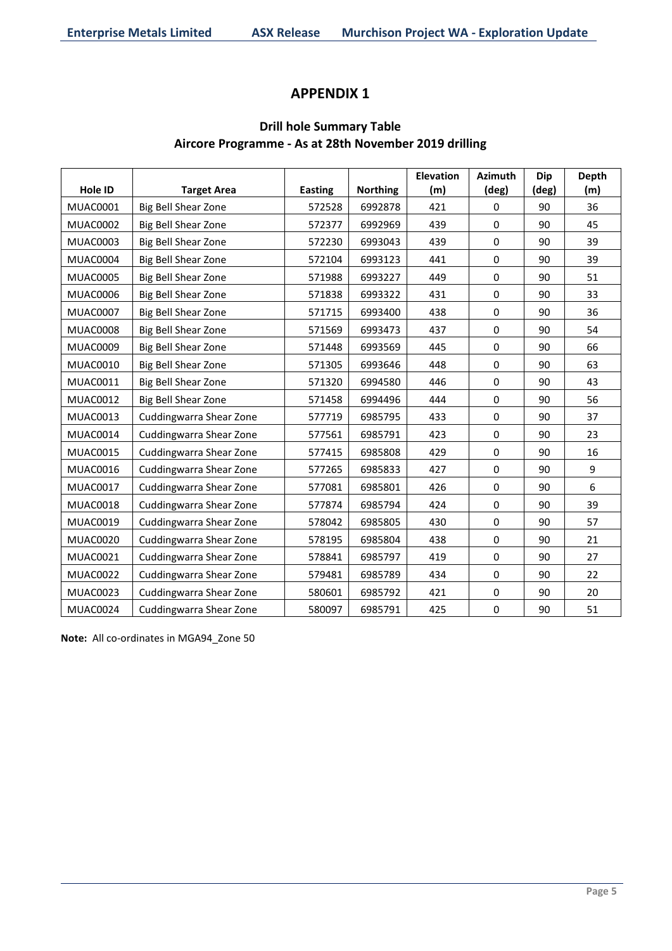# **APPENDIX 1**

# **Drill hole Summary Table Aircore Programme - As at 28th November 2019 drilling**

|                 |                            |                |                 | <b>Elevation</b> | <b>Azimuth</b> | <b>Dip</b> | Depth |
|-----------------|----------------------------|----------------|-----------------|------------------|----------------|------------|-------|
| Hole ID         | <b>Target Area</b>         | <b>Easting</b> | <b>Northing</b> | (m)              | (deg)          | (deg)      | (m)   |
| <b>MUAC0001</b> | <b>Big Bell Shear Zone</b> | 572528         | 6992878         | 421              | $\Omega$       | 90         | 36    |
| <b>MUAC0002</b> | Big Bell Shear Zone        | 572377         | 6992969         | 439              | 0              | 90         | 45    |
| <b>MUAC0003</b> | Big Bell Shear Zone        | 572230         | 6993043         | 439              | 0              | 90         | 39    |
| MUAC0004        | Big Bell Shear Zone        | 572104         | 6993123         | 441              | 0              | 90         | 39    |
| <b>MUAC0005</b> | Big Bell Shear Zone        | 571988         | 6993227         | 449              | 0              | 90         | 51    |
| <b>MUAC0006</b> | Big Bell Shear Zone        | 571838         | 6993322         | 431              | 0              | 90         | 33    |
| <b>MUAC0007</b> | Big Bell Shear Zone        | 571715         | 6993400         | 438              | 0              | 90         | 36    |
| <b>MUAC0008</b> | Big Bell Shear Zone        | 571569         | 6993473         | 437              | $\pmb{0}$      | 90         | 54    |
| <b>MUAC0009</b> | Big Bell Shear Zone        | 571448         | 6993569         | 445              | $\pmb{0}$      | 90         | 66    |
| <b>MUAC0010</b> | Big Bell Shear Zone        | 571305         | 6993646         | 448              | $\Omega$       | 90         | 63    |
| MUAC0011        | Big Bell Shear Zone        | 571320         | 6994580         | 446              | $\pmb{0}$      | 90         | 43    |
| <b>MUAC0012</b> | Big Bell Shear Zone        | 571458         | 6994496         | 444              | 0              | 90         | 56    |
| <b>MUAC0013</b> | Cuddingwarra Shear Zone    | 577719         | 6985795         | 433              | 0              | 90         | 37    |
| <b>MUAC0014</b> | Cuddingwarra Shear Zone    | 577561         | 6985791         | 423              | 0              | 90         | 23    |
| <b>MUAC0015</b> | Cuddingwarra Shear Zone    | 577415         | 6985808         | 429              | 0              | 90         | 16    |
| MUAC0016        | Cuddingwarra Shear Zone    | 577265         | 6985833         | 427              | 0              | 90         | 9     |
| <b>MUAC0017</b> | Cuddingwarra Shear Zone    | 577081         | 6985801         | 426              | 0              | 90         | 6     |
| <b>MUAC0018</b> | Cuddingwarra Shear Zone    | 577874         | 6985794         | 424              | $\pmb{0}$      | 90         | 39    |
| <b>MUAC0019</b> | Cuddingwarra Shear Zone    | 578042         | 6985805         | 430              | $\Omega$       | 90         | 57    |
| <b>MUAC0020</b> | Cuddingwarra Shear Zone    | 578195         | 6985804         | 438              | 0              | 90         | 21    |
| <b>MUAC0021</b> | Cuddingwarra Shear Zone    | 578841         | 6985797         | 419              | 0              | 90         | 27    |
| <b>MUAC0022</b> | Cuddingwarra Shear Zone    | 579481         | 6985789         | 434              | 0              | 90         | 22    |
| <b>MUAC0023</b> | Cuddingwarra Shear Zone    | 580601         | 6985792         | 421              | 0              | 90         | 20    |
| <b>MUAC0024</b> | Cuddingwarra Shear Zone    | 580097         | 6985791         | 425              | 0              | 90         | 51    |

**Note:** All co-ordinates in MGA94\_Zone 50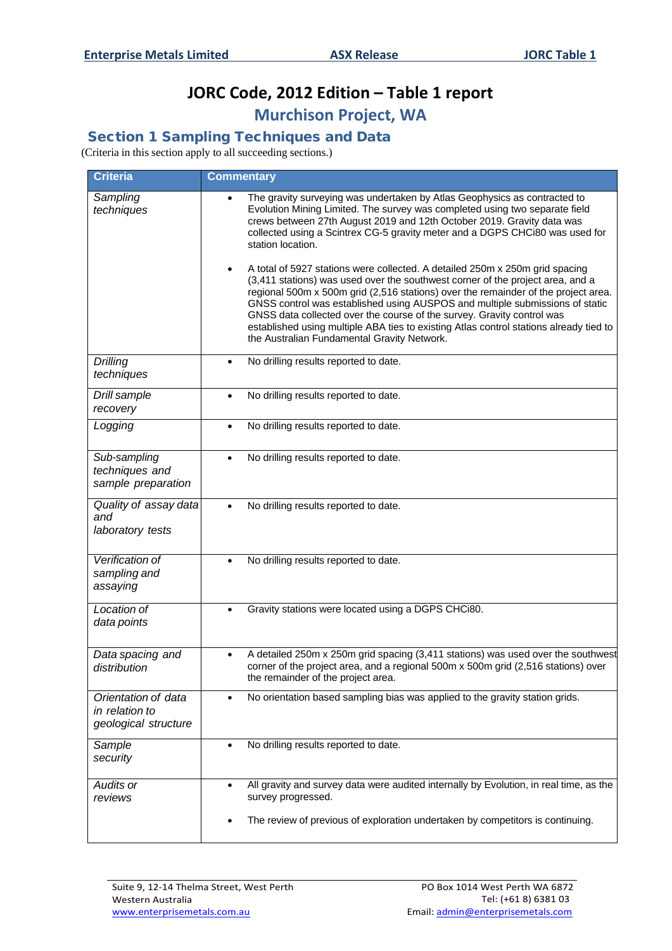# **JORC Code, 2012 Edition – Table 1 report Murchison Project, WA**

Section 1 Sampling Techniques and Data

(Criteria in this section apply to all succeeding sections.)

| <b>Criteria</b>                                               | <b>Commentary</b>                                                                                                                                                                                                                                                                                                                                                                                                                                                                                                                                                                                                                                                                                                                                                                                                                                                                                               |
|---------------------------------------------------------------|-----------------------------------------------------------------------------------------------------------------------------------------------------------------------------------------------------------------------------------------------------------------------------------------------------------------------------------------------------------------------------------------------------------------------------------------------------------------------------------------------------------------------------------------------------------------------------------------------------------------------------------------------------------------------------------------------------------------------------------------------------------------------------------------------------------------------------------------------------------------------------------------------------------------|
| Sampling<br>techniques                                        | The gravity surveying was undertaken by Atlas Geophysics as contracted to<br>Evolution Mining Limited. The survey was completed using two separate field<br>crews between 27th August 2019 and 12th October 2019. Gravity data was<br>collected using a Scintrex CG-5 gravity meter and a DGPS CHCi80 was used for<br>station location.<br>A total of 5927 stations were collected. A detailed 250m x 250m grid spacing<br>$\bullet$<br>(3,411 stations) was used over the southwest corner of the project area, and a<br>regional 500m x 500m grid (2,516 stations) over the remainder of the project area.<br>GNSS control was established using AUSPOS and multiple submissions of static<br>GNSS data collected over the course of the survey. Gravity control was<br>established using multiple ABA ties to existing Atlas control stations already tied to<br>the Australian Fundamental Gravity Network. |
| <b>Drilling</b><br>techniques                                 | No drilling results reported to date.<br>$\bullet$                                                                                                                                                                                                                                                                                                                                                                                                                                                                                                                                                                                                                                                                                                                                                                                                                                                              |
| Drill sample<br>recovery                                      | No drilling results reported to date.<br>$\bullet$                                                                                                                                                                                                                                                                                                                                                                                                                                                                                                                                                                                                                                                                                                                                                                                                                                                              |
| Logging                                                       | No drilling results reported to date.<br>$\bullet$                                                                                                                                                                                                                                                                                                                                                                                                                                                                                                                                                                                                                                                                                                                                                                                                                                                              |
| Sub-sampling<br>techniques and<br>sample preparation          | No drilling results reported to date.<br>$\bullet$                                                                                                                                                                                                                                                                                                                                                                                                                                                                                                                                                                                                                                                                                                                                                                                                                                                              |
| Quality of assay data<br>and<br>laboratory tests              | No drilling results reported to date.<br>$\bullet$                                                                                                                                                                                                                                                                                                                                                                                                                                                                                                                                                                                                                                                                                                                                                                                                                                                              |
| Verification of<br>sampling and<br>assaying                   | No drilling results reported to date.                                                                                                                                                                                                                                                                                                                                                                                                                                                                                                                                                                                                                                                                                                                                                                                                                                                                           |
| Location of<br>data points                                    | Gravity stations were located using a DGPS CHCi80.<br>$\bullet$                                                                                                                                                                                                                                                                                                                                                                                                                                                                                                                                                                                                                                                                                                                                                                                                                                                 |
| Data spacing and<br>distribution                              | A detailed 250m x 250m grid spacing (3,411 stations) was used over the southwest<br>$\bullet$<br>corner of the project area, and a regional 500m x 500m grid (2,516 stations) over<br>the remainder of the project area.                                                                                                                                                                                                                                                                                                                                                                                                                                                                                                                                                                                                                                                                                        |
| Orientation of data<br>in relation to<br>geological structure | No orientation based sampling bias was applied to the gravity station grids.<br>$\bullet$                                                                                                                                                                                                                                                                                                                                                                                                                                                                                                                                                                                                                                                                                                                                                                                                                       |
| Sample<br>security                                            | No drilling results reported to date.                                                                                                                                                                                                                                                                                                                                                                                                                                                                                                                                                                                                                                                                                                                                                                                                                                                                           |
| Audits or<br>reviews                                          | All gravity and survey data were audited internally by Evolution, in real time, as the<br>$\bullet$<br>survey progressed.                                                                                                                                                                                                                                                                                                                                                                                                                                                                                                                                                                                                                                                                                                                                                                                       |
|                                                               | The review of previous of exploration undertaken by competitors is continuing.                                                                                                                                                                                                                                                                                                                                                                                                                                                                                                                                                                                                                                                                                                                                                                                                                                  |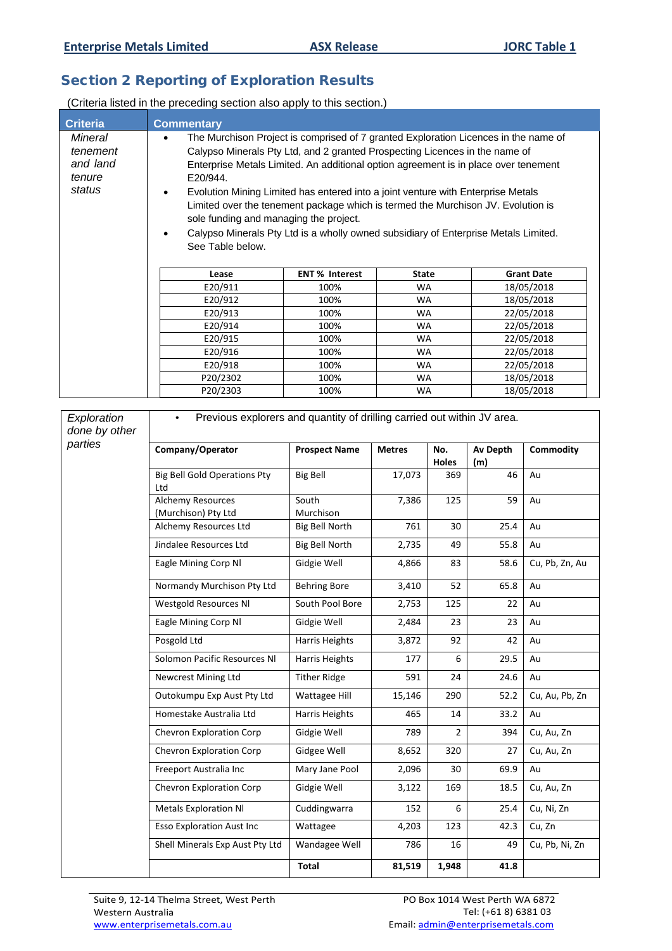# Section 2 Reporting of Exploration Results

(Criteria listed in the preceding section also apply to this section.)

| <b>Criteria</b>                                     | <b>Commentary</b>                                                                                                                                                                                                                                                                                                                                                                                                                                                                                                                                                                                               |      |           |                   |
|-----------------------------------------------------|-----------------------------------------------------------------------------------------------------------------------------------------------------------------------------------------------------------------------------------------------------------------------------------------------------------------------------------------------------------------------------------------------------------------------------------------------------------------------------------------------------------------------------------------------------------------------------------------------------------------|------|-----------|-------------------|
| Mineral<br>tenement<br>and land<br>tenure<br>status | The Murchison Project is comprised of 7 granted Exploration Licences in the name of<br>Calypso Minerals Pty Ltd, and 2 granted Prospecting Licences in the name of<br>Enterprise Metals Limited. An additional option agreement is in place over tenement<br>E20/944.<br>Evolution Mining Limited has entered into a joint venture with Enterprise Metals<br>$\bullet$<br>Limited over the tenement package which is termed the Murchison JV. Evolution is<br>sole funding and managing the project.<br>Calypso Minerals Pty Ltd is a wholly owned subsidiary of Enterprise Metals Limited.<br>See Table below. |      |           |                   |
| <b>ENT % Interest</b><br><b>State</b><br>Lease      |                                                                                                                                                                                                                                                                                                                                                                                                                                                                                                                                                                                                                 |      |           | <b>Grant Date</b> |
|                                                     | E20/911                                                                                                                                                                                                                                                                                                                                                                                                                                                                                                                                                                                                         | 100% | <b>WA</b> | 18/05/2018        |
|                                                     | E20/912                                                                                                                                                                                                                                                                                                                                                                                                                                                                                                                                                                                                         | 100% | <b>WA</b> | 18/05/2018        |
|                                                     | E20/913                                                                                                                                                                                                                                                                                                                                                                                                                                                                                                                                                                                                         | 100% | <b>WA</b> | 22/05/2018        |
|                                                     | E20/914                                                                                                                                                                                                                                                                                                                                                                                                                                                                                                                                                                                                         | 100% | <b>WA</b> | 22/05/2018        |
| E20/915<br>100%<br><b>WA</b>                        |                                                                                                                                                                                                                                                                                                                                                                                                                                                                                                                                                                                                                 |      |           | 22/05/2018        |
| E20/916<br>100%                                     |                                                                                                                                                                                                                                                                                                                                                                                                                                                                                                                                                                                                                 |      | <b>WA</b> | 22/05/2018        |
| E20/918<br>100%<br><b>WA</b>                        |                                                                                                                                                                                                                                                                                                                                                                                                                                                                                                                                                                                                                 |      |           | 22/05/2018        |
| P20/2302<br>100%                                    |                                                                                                                                                                                                                                                                                                                                                                                                                                                                                                                                                                                                                 |      | <b>WA</b> | 18/05/2018        |
|                                                     | P20/2303                                                                                                                                                                                                                                                                                                                                                                                                                                                                                                                                                                                                        | 100% | <b>WA</b> | 18/05/2018        |

| Exploration<br>done by other | Previous explorers and quantity of drilling carried out within JV area. |                       |               |                |                 |                |
|------------------------------|-------------------------------------------------------------------------|-----------------------|---------------|----------------|-----------------|----------------|
| parties                      | Company/Operator                                                        | <b>Prospect Name</b>  | <b>Metres</b> | No.<br>Holes   | Av Depth<br>(m) | Commodity      |
|                              | <b>Big Bell Gold Operations Pty</b><br>Ltd                              | <b>Big Bell</b>       | 17,073        | 369            | 46              | Au             |
|                              | Alchemy Resources<br>(Murchison) Pty Ltd                                | South<br>Murchison    | 7,386         | 125            | 59              | Au             |
|                              | Alchemy Resources Ltd                                                   | <b>Big Bell North</b> | 761           | 30             | 25.4            | Au             |
|                              | Jindalee Resources Ltd                                                  | <b>Big Bell North</b> | 2,735         | 49             | 55.8            | Au             |
|                              | Eagle Mining Corp Nl                                                    | Gidgie Well           | 4,866         | 83             | 58.6            | Cu, Pb, Zn, Au |
|                              | Normandy Murchison Pty Ltd                                              | <b>Behring Bore</b>   | 3,410         | 52             | 65.8            | Au             |
|                              | <b>Westgold Resources NI</b>                                            | South Pool Bore       | 2,753         | 125            | 22              | Au             |
|                              | Eagle Mining Corp Nl                                                    | Gidgie Well           | 2,484         | 23             | 23              | Au             |
|                              | Posgold Ltd                                                             | Harris Heights        | 3,872         | 92             | 42              | Au             |
|                              | Solomon Pacific Resources NI                                            | <b>Harris Heights</b> | 177           | 6              | 29.5            | Au             |
|                              | <b>Newcrest Mining Ltd</b>                                              | <b>Tither Ridge</b>   | 591           | 24             | 24.6            | Au             |
|                              | Outokumpu Exp Aust Pty Ltd                                              | Wattagee Hill         | 15,146        | 290            | 52.2            | Cu, Au, Pb, Zn |
|                              | Homestake Australia Ltd                                                 | Harris Heights        | 465           | 14             | 33.2            | Au             |
|                              | Chevron Exploration Corp                                                | Gidgie Well           | 789           | $\overline{2}$ | 394             | Cu, Au, Zn     |
|                              | Chevron Exploration Corp                                                | Gidgee Well           | 8,652         | 320            | 27              | Cu, Au, Zn     |
|                              | Freeport Australia Inc                                                  | Mary Jane Pool        | 2,096         | 30             | 69.9            | Au             |
|                              | Chevron Exploration Corp                                                | Gidgie Well           | 3,122         | 169            | 18.5            | Cu, Au, Zn     |
|                              | <b>Metals Exploration NI</b>                                            | Cuddingwarra          | 152           | 6              | 25.4            | Cu, Ni, Zn     |
|                              | <b>Esso Exploration Aust Inc</b>                                        | Wattagee              | 4,203         | 123            | 42.3            | Cu, Zn         |
|                              | Shell Minerals Exp Aust Pty Ltd                                         | Wandagee Well         | 786           | 16             | 49              | Cu, Pb, Ni, Zn |
|                              |                                                                         | Total                 | 81,519        | 1,948          | 41.8            |                |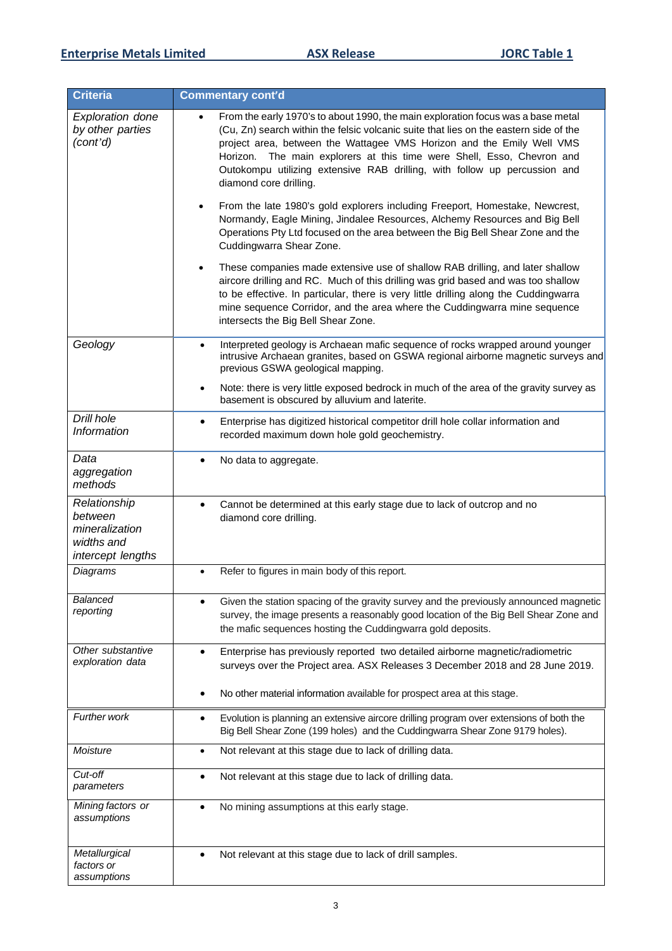| Criteria                                                                     | <b>Commentary cont'd</b>                                                                                                                                                                                                                                                                                                                                                                                                                                                                                                                                                                                                                                                                                                                                                                                                                                                                                                                                                                                                                                                                                                                 |  |  |  |
|------------------------------------------------------------------------------|------------------------------------------------------------------------------------------------------------------------------------------------------------------------------------------------------------------------------------------------------------------------------------------------------------------------------------------------------------------------------------------------------------------------------------------------------------------------------------------------------------------------------------------------------------------------------------------------------------------------------------------------------------------------------------------------------------------------------------------------------------------------------------------------------------------------------------------------------------------------------------------------------------------------------------------------------------------------------------------------------------------------------------------------------------------------------------------------------------------------------------------|--|--|--|
| <b>Exploration done</b><br>by other parties<br>(cont'd)                      | From the early 1970's to about 1990, the main exploration focus was a base metal<br>$\bullet$<br>(Cu, Zn) search within the felsic volcanic suite that lies on the eastern side of the<br>project area, between the Wattagee VMS Horizon and the Emily Well VMS<br>Horizon. The main explorers at this time were Shell, Esso, Chevron and<br>Outokompu utilizing extensive RAB drilling, with follow up percussion and<br>diamond core drilling.<br>From the late 1980's gold explorers including Freeport, Homestake, Newcrest,<br>$\bullet$<br>Normandy, Eagle Mining, Jindalee Resources, Alchemy Resources and Big Bell<br>Operations Pty Ltd focused on the area between the Big Bell Shear Zone and the<br>Cuddingwarra Shear Zone.<br>These companies made extensive use of shallow RAB drilling, and later shallow<br>$\bullet$<br>aircore drilling and RC. Much of this drilling was grid based and was too shallow<br>to be effective. In particular, there is very little drilling along the Cuddingwarra<br>mine sequence Corridor, and the area where the Cuddingwarra mine sequence<br>intersects the Big Bell Shear Zone. |  |  |  |
| Geology                                                                      | Interpreted geology is Archaean mafic sequence of rocks wrapped around younger<br>$\bullet$<br>intrusive Archaean granites, based on GSWA regional airborne magnetic surveys and<br>previous GSWA geological mapping.<br>Note: there is very little exposed bedrock in much of the area of the gravity survey as<br>basement is obscured by alluvium and laterite.                                                                                                                                                                                                                                                                                                                                                                                                                                                                                                                                                                                                                                                                                                                                                                       |  |  |  |
| Drill hole<br>Information                                                    | Enterprise has digitized historical competitor drill hole collar information and<br>٠<br>recorded maximum down hole gold geochemistry.                                                                                                                                                                                                                                                                                                                                                                                                                                                                                                                                                                                                                                                                                                                                                                                                                                                                                                                                                                                                   |  |  |  |
| Data<br>aggregation<br>methods                                               | No data to aggregate.                                                                                                                                                                                                                                                                                                                                                                                                                                                                                                                                                                                                                                                                                                                                                                                                                                                                                                                                                                                                                                                                                                                    |  |  |  |
| Relationship<br>between<br>mineralization<br>widths and<br>intercept lengths | Cannot be determined at this early stage due to lack of outcrop and no<br>diamond core drilling.                                                                                                                                                                                                                                                                                                                                                                                                                                                                                                                                                                                                                                                                                                                                                                                                                                                                                                                                                                                                                                         |  |  |  |
| Diagrams                                                                     | Refer to figures in main body of this report.<br>$\bullet$                                                                                                                                                                                                                                                                                                                                                                                                                                                                                                                                                                                                                                                                                                                                                                                                                                                                                                                                                                                                                                                                               |  |  |  |
| Balanced<br>reporting                                                        | Given the station spacing of the gravity survey and the previously announced magnetic<br>survey, the image presents a reasonably good location of the Big Bell Shear Zone and<br>the mafic sequences hosting the Cuddingwarra gold deposits.                                                                                                                                                                                                                                                                                                                                                                                                                                                                                                                                                                                                                                                                                                                                                                                                                                                                                             |  |  |  |
| Other substantive<br>exploration data                                        | Enterprise has previously reported two detailed airborne magnetic/radiometric<br>$\bullet$<br>surveys over the Project area. ASX Releases 3 December 2018 and 28 June 2019.<br>No other material information available for prospect area at this stage.                                                                                                                                                                                                                                                                                                                                                                                                                                                                                                                                                                                                                                                                                                                                                                                                                                                                                  |  |  |  |
| <b>Further work</b>                                                          | Evolution is planning an extensive aircore drilling program over extensions of both the<br>٠<br>Big Bell Shear Zone (199 holes) and the Cuddingwarra Shear Zone 9179 holes).                                                                                                                                                                                                                                                                                                                                                                                                                                                                                                                                                                                                                                                                                                                                                                                                                                                                                                                                                             |  |  |  |
| Moisture                                                                     | Not relevant at this stage due to lack of drilling data.                                                                                                                                                                                                                                                                                                                                                                                                                                                                                                                                                                                                                                                                                                                                                                                                                                                                                                                                                                                                                                                                                 |  |  |  |
| Cut-off<br>parameters                                                        | Not relevant at this stage due to lack of drilling data.<br>٠                                                                                                                                                                                                                                                                                                                                                                                                                                                                                                                                                                                                                                                                                                                                                                                                                                                                                                                                                                                                                                                                            |  |  |  |
| Mining factors or<br>assumptions                                             | No mining assumptions at this early stage.                                                                                                                                                                                                                                                                                                                                                                                                                                                                                                                                                                                                                                                                                                                                                                                                                                                                                                                                                                                                                                                                                               |  |  |  |
| Metallurgical<br>factors or<br>assumptions                                   | Not relevant at this stage due to lack of drill samples.                                                                                                                                                                                                                                                                                                                                                                                                                                                                                                                                                                                                                                                                                                                                                                                                                                                                                                                                                                                                                                                                                 |  |  |  |